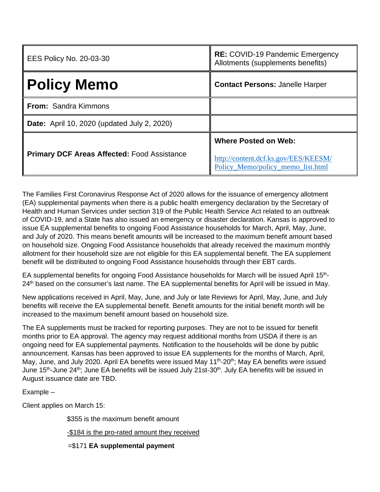| <b>EES Policy No. 20-03-30</b>                     | RE: COVID-19 Pandemic Emergency<br>Allotments (supplements benefits)                                     |
|----------------------------------------------------|----------------------------------------------------------------------------------------------------------|
| <b>Policy Memo</b>                                 | <b>Contact Persons: Janelle Harper</b>                                                                   |
| <b>From: Sandra Kimmons</b>                        |                                                                                                          |
| <b>Date:</b> April 10, 2020 (updated July 2, 2020) |                                                                                                          |
| <b>Primary DCF Areas Affected: Food Assistance</b> | <b>Where Posted on Web:</b><br>http://content.dcf.ks.gov/EES/KEESM/<br>Policy Memo/policy memo list.html |

The Families First Coronavirus Response Act of 2020 allows for the issuance of emergency allotment (EA) supplemental payments when there is a public health emergency declaration by the Secretary of Health and Human Services under section 319 of the Public Health Service Act related to an outbreak of COVID-19, and a State has also issued an emergency or disaster declaration. Kansas is approved to issue EA supplemental benefits to ongoing Food Assistance households for March, April, May, June, and July of 2020. This means benefit amounts will be increased to the maximum benefit amount based on household size. Ongoing Food Assistance households that already received the maximum monthly allotment for their household size are not eligible for this EA supplemental benefit. The EA supplement benefit will be distributed to ongoing Food Assistance households through their EBT cards.

EA supplemental benefits for ongoing Food Assistance households for March will be issued April 15<sup>th</sup>-24<sup>th</sup> based on the consumer's last name. The EA supplemental benefits for April will be issued in May.

New applications received in April, May, June, and July or late Reviews for April, May, June, and July benefits will receive the EA supplemental benefit. Benefit amounts for the initial benefit month will be increased to the maximum benefit amount based on household size.

The EA supplements must be tracked for reporting purposes. They are not to be issued for benefit months prior to EA approval. The agency may request additional months from USDA if there is an ongoing need for EA supplemental payments. Notification to the households will be done by public announcement. Kansas has been approved to issue EA supplements for the months of March, April, May, June, and July 2020. April EA benefits were issued May 11<sup>th</sup>-20<sup>th</sup>; May EA benefits were issued June 15<sup>th</sup>-June 24<sup>th</sup>; June EA benefits will be issued July 21st-30<sup>th</sup>. July EA benefits will be issued in August issuance date are TBD.

Example –

Client applies on March 15:

\$355 is the maximum benefit amount

-\$184 is the pro-rated amount they received

=\$171 **EA supplemental payment**